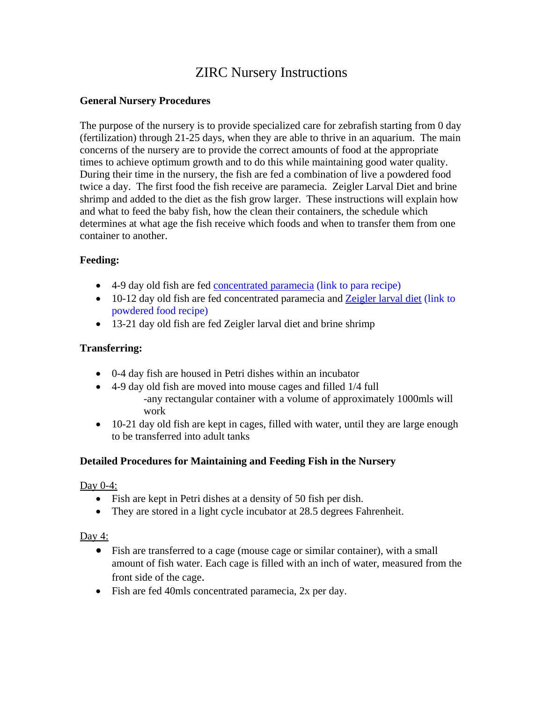# ZIRC Nursery Instructions

# **General Nursery Procedures**

The purpose of the nursery is to provide specialized care for zebrafish starting from 0 day (fertilization) through 21-25 days, when they are able to thrive in an aquarium. The main concerns of the nursery are to provide the correct amounts of food at the appropriate times to achieve optimum growth and to do this while maintaining good water quality. During their time in the nursery, the fish are fed a combination of live a powdered food twice a day. The first food the fish receive are paramecia. Zeigler Larval Diet and brine shrimp and added to the diet as the fish grow larger. These instructions will explain how and what to feed the baby fish, how the clean their containers, the schedule which determines at what age the fish receive which foods and when to transfer them from one container to another.

# **Feeding:**

- 4-9 day old fish are fed concentrated paramecia (link to para recipe)
- 10-12 day old fish are fed concentrated paramecia and Zeigler larval diet (link to powdered food recipe)
- 13-21 day old fish are fed Zeigler larval diet and brine shrimp

# **Transferring:**

- 0-4 day fish are housed in Petri dishes within an incubator
- 4-9 day old fish are moved into mouse cages and filled 1/4 full -any rectangular container with a volume of approximately 1000mls will work
- 10-21 day old fish are kept in cages, filled with water, until they are large enough to be transferred into adult tanks

# **Detailed Procedures for Maintaining and Feeding Fish in the Nursery**

Day 0-4:

- Fish are kept in Petri dishes at a density of 50 fish per dish.
- They are stored in a light cycle incubator at 28.5 degrees Fahrenheit.

Day 4:

- Fish are transferred to a cage (mouse cage or similar container), with a small amount of fish water. Each cage is filled with an inch of water, measured from the front side of the cage.
- Fish are fed 40mls concentrated paramecia, 2x per day.